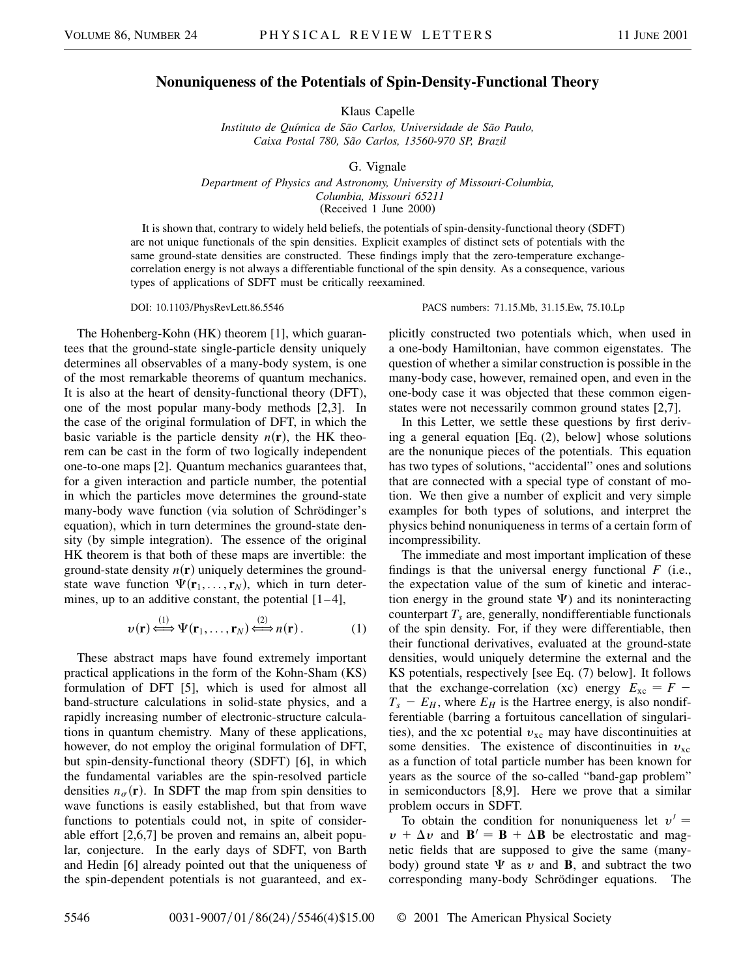## **Nonuniqueness of the Potentials of Spin-Density-Functional Theory**

Klaus Capelle

*Instituto de Química de São Carlos, Universidade de São Paulo, Caixa Postal 780, São Carlos, 13560-970 SP, Brazil*

G. Vignale

*Department of Physics and Astronomy, University of Missouri-Columbia, Columbia, Missouri 65211* (Received 1 June 2000)

It is shown that, contrary to widely held beliefs, the potentials of spin-density-functional theory (SDFT) are not unique functionals of the spin densities. Explicit examples of distinct sets of potentials with the same ground-state densities are constructed. These findings imply that the zero-temperature exchangecorrelation energy is not always a differentiable functional of the spin density. As a consequence, various types of applications of SDFT must be critically reexamined.

The Hohenberg-Kohn (HK) theorem [1], which guarantees that the ground-state single-particle density uniquely determines all observables of a many-body system, is one of the most remarkable theorems of quantum mechanics. It is also at the heart of density-functional theory (DFT), one of the most popular many-body methods [2,3]. In the case of the original formulation of DFT, in which the basic variable is the particle density  $n(\mathbf{r})$ , the HK theorem can be cast in the form of two logically independent one-to-one maps [2]. Quantum mechanics guarantees that, for a given interaction and particle number, the potential in which the particles move determines the ground-state many-body wave function (via solution of Schrödinger's equation), which in turn determines the ground-state density (by simple integration). The essence of the original HK theorem is that both of these maps are invertible: the ground-state density  $n(\mathbf{r})$  uniquely determines the groundstate wave function  $\Psi(\mathbf{r}_1,\ldots,\mathbf{r}_N)$ , which in turn determines, up to an additive constant, the potential  $[1-4]$ ,

$$
v(\mathbf{r}) \stackrel{(1)}{\iff} \Psi(\mathbf{r}_1, \dots, \mathbf{r}_N) \stackrel{(2)}{\iff} n(\mathbf{r}).
$$
 (1)

These abstract maps have found extremely important practical applications in the form of the Kohn-Sham (KS) formulation of DFT [5], which is used for almost all band-structure calculations in solid-state physics, and a rapidly increasing number of electronic-structure calculations in quantum chemistry. Many of these applications, however, do not employ the original formulation of DFT, but spin-density-functional theory (SDFT) [6], in which the fundamental variables are the spin-resolved particle densities  $n_{\sigma}(\mathbf{r})$ . In SDFT the map from spin densities to wave functions is easily established, but that from wave functions to potentials could not, in spite of considerable effort [2,6,7] be proven and remains an, albeit popular, conjecture. In the early days of SDFT, von Barth and Hedin [6] already pointed out that the uniqueness of the spin-dependent potentials is not guaranteed, and ex-

DOI: 10.1103/PhysRevLett.86.5546 PACS numbers: 71.15.Mb, 31.15.Ew, 75.10.Lp

plicitly constructed two potentials which, when used in a one-body Hamiltonian, have common eigenstates. The question of whether a similar construction is possible in the many-body case, however, remained open, and even in the one-body case it was objected that these common eigenstates were not necessarily common ground states [2,7].

In this Letter, we settle these questions by first deriving a general equation [Eq. (2), below] whose solutions are the nonunique pieces of the potentials. This equation has two types of solutions, "accidental" ones and solutions that are connected with a special type of constant of motion. We then give a number of explicit and very simple examples for both types of solutions, and interpret the physics behind nonuniqueness in terms of a certain form of incompressibility.

The immediate and most important implication of these findings is that the universal energy functional *F* (i.e., the expectation value of the sum of kinetic and interaction energy in the ground state  $\Psi$ ) and its noninteracting counterpart  $T<sub>s</sub>$  are, generally, nondifferentiable functionals of the spin density. For, if they were differentiable, then their functional derivatives, evaluated at the ground-state densities, would uniquely determine the external and the KS potentials, respectively [see Eq. (7) below]. It follows that the exchange-correlation (xc) energy  $E_{\text{xc}} = F T_s - E_H$ , where  $E_H$  is the Hartree energy, is also nondifferentiable (barring a fortuitous cancellation of singularities), and the xc potential  $v_{\text{xc}}$  may have discontinuities at some densities. The existence of discontinuities in  $v_{\text{xc}}$ as a function of total particle number has been known for years as the source of the so-called "band-gap problem" in semiconductors [8,9]. Here we prove that a similar problem occurs in SDFT.

To obtain the condition for nonuniqueness let  $v' =$  $v + \Delta v$  and  $\mathbf{B}' = \mathbf{B} + \Delta \mathbf{B}$  be electrostatic and magnetic fields that are supposed to give the same (manybody) ground state  $\Psi$  as  $v$  and **B**, and subtract the two corresponding many-body Schrödinger equations. The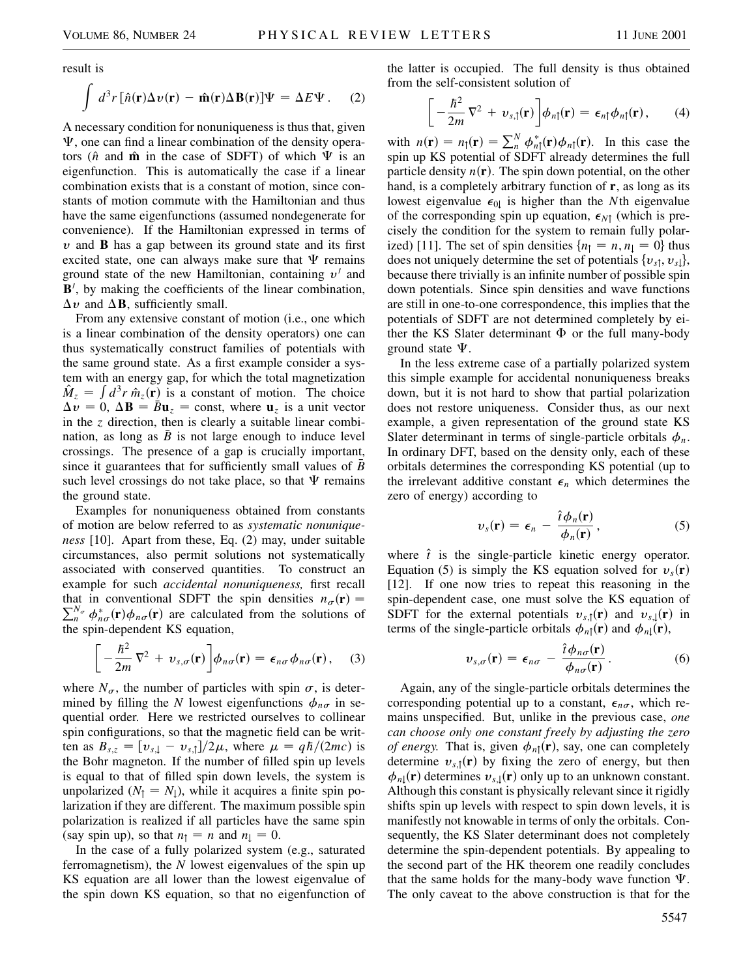result is

$$
\int d^3r [\hat{n}(\mathbf{r}) \Delta v(\mathbf{r}) - \hat{\mathbf{m}}(\mathbf{r}) \Delta \mathbf{B}(\mathbf{r})] \Psi = \Delta E \Psi.
$$
 (2)

A necessary condition for nonuniqueness is thus that, given  $\Psi$ , one can find a linear combination of the density operators ( $\hat{n}$  and  $\hat{m}$  in the case of SDFT) of which  $\Psi$  is an eigenfunction. This is automatically the case if a linear combination exists that is a constant of motion, since constants of motion commute with the Hamiltonian and thus have the same eigenfunctions (assumed nondegenerate for convenience). If the Hamiltonian expressed in terms of  $v$  and **B** has a gap between its ground state and its first excited state, one can always make sure that  $\Psi$  remains ground state of the new Hamiltonian, containing  $v'$  and B', by making the coefficients of the linear combination,  $\Delta v$  and  $\Delta B$ , sufficiently small.

From any extensive constant of motion (i.e., one which is a linear combination of the density operators) one can thus systematically construct families of potentials with the same ground state. As a first example consider a system with an energy gap, for which the total magnetization  $\hat{M}_z = \int d^3r \hat{n}_z(\mathbf{r})$  is a constant of motion. The choice  $\Delta v = 0$ ,  $\Delta \mathbf{B} = \bar{B} \mathbf{u}_z = \text{const}$ , where  $\mathbf{u}_z$  is a unit vector in the *z* direction, then is clearly a suitable linear combination, as long as  $B$  is not large enough to induce level crossings. The presence of a gap is crucially important, since it guarantees that for sufficiently small values of  $\bar{B}$ such level crossings do not take place, so that  $\Psi$  remains the ground state.

Examples for nonuniqueness obtained from constants of motion are below referred to as *systematic nonuniqueness* [10]. Apart from these, Eq. (2) may, under suitable circumstances, also permit solutions not systematically associated with conserved quantities. To construct an example for such *accidental nonuniqueness,* first recall that in conventional SDFT the spin densities  $n_{\sigma}(\mathbf{r}) = \nabla^{N_{\sigma}} d^*$  (**r**) densities convention the solutions of  $\sum_{n}^{N_{\sigma}} \phi_{n\sigma}^{*}(\mathbf{r}) \phi_{n\sigma}(\mathbf{r})$  are calculated from the solutions of the spin-dependent KS equation,

$$
\[ -\frac{\hbar^2}{2m} \nabla^2 + v_{s,\sigma}(\mathbf{r}) \] \phi_{n\sigma}(\mathbf{r}) = \epsilon_{n\sigma} \phi_{n\sigma}(\mathbf{r}), \quad (3)
$$

where  $N_{\sigma}$ , the number of particles with spin  $\sigma$ , is determined by filling the *N* lowest eigenfunctions  $\phi_{n\sigma}$  in sequential order. Here we restricted ourselves to collinear spin configurations, so that the magnetic field can be written as  $B_{s,z} = \frac{v_{s,z} - v_{s,z}}{2\mu}$ , where  $\mu = \frac{q\hbar}{2mc}$  is the Bohr magneton. If the number of filled spin up levels is equal to that of filled spin down levels, the system is unpolarized  $(N_1 = N_1)$ , while it acquires a finite spin polarization if they are different. The maximum possible spin polarization is realized if all particles have the same spin (say spin up), so that  $n_1 = n$  and  $n_1 = 0$ .

In the case of a fully polarized system (e.g., saturated ferromagnetism), the *N* lowest eigenvalues of the spin up KS equation are all lower than the lowest eigenvalue of the spin down KS equation, so that no eigenfunction of the latter is occupied. The full density is thus obtained from the self-consistent solution of

$$
\[ -\frac{\hbar^2}{2m} \nabla^2 + v_{s,\uparrow}(\mathbf{r}) \] \phi_{n\uparrow}(\mathbf{r}) = \epsilon_{n\uparrow} \phi_{n\uparrow}(\mathbf{r}), \qquad (4)
$$

with  $n(\mathbf{r}) = n_{\uparrow}(\mathbf{r}) = \sum_{n}^{N} \phi_{n\uparrow}^*(\mathbf{r}) \phi_{n\uparrow}(\mathbf{r})$ . In this case the spin up KS potential of SDFT already determines the full particle density  $n(\mathbf{r})$ . The spin down potential, on the other hand, is a completely arbitrary function of **r**, as long as its lowest eigenvalue  $\epsilon_{0}$  is higher than the *N*th eigenvalue of the corresponding spin up equation,  $\epsilon_{N\uparrow}$  (which is precisely the condition for the system to remain fully polarized) [11]. The set of spin densities  $\{n_1 = n, n_1 = 0\}$  thus does not uniquely determine the set of potentials  $\{v_{s\uparrow}, v_{s\downarrow}\},$ because there trivially is an infinite number of possible spin down potentials. Since spin densities and wave functions are still in one-to-one correspondence, this implies that the potentials of SDFT are not determined completely by either the KS Slater determinant  $\Phi$  or the full many-body ground state  $\Psi$ .

In the less extreme case of a partially polarized system this simple example for accidental nonuniqueness breaks down, but it is not hard to show that partial polarization does not restore uniqueness. Consider thus, as our next example, a given representation of the ground state KS Slater determinant in terms of single-particle orbitals  $\phi_n$ . In ordinary DFT, based on the density only, each of these orbitals determines the corresponding KS potential (up to the irrelevant additive constant  $\epsilon_n$  which determines the zero of energy) according to

$$
v_s(\mathbf{r}) = \epsilon_n - \frac{\hat{t}\phi_n(\mathbf{r})}{\phi_n(\mathbf{r})},
$$
\n(5)

where  $\hat{t}$  is the single-particle kinetic energy operator. Equation (5) is simply the KS equation solved for  $v_s(\mathbf{r})$ [12]. If one now tries to repeat this reasoning in the spin-dependent case, one must solve the KS equation of SDFT for the external potentials  $v_{s,1}(\mathbf{r})$  and  $v_{s,1}(\mathbf{r})$  in terms of the single-particle orbitals  $\phi_{n\uparrow}(\mathbf{r})$  and  $\phi_{n\downarrow}(\mathbf{r})$ ,

$$
v_{s,\sigma}(\mathbf{r}) = \epsilon_{n\sigma} - \frac{\hat{i}\phi_{n\sigma}(\mathbf{r})}{\phi_{n\sigma}(\mathbf{r})}.
$$
 (6)

Again, any of the single-particle orbitals determines the corresponding potential up to a constant,  $\epsilon_{n\sigma}$ , which remains unspecified. But, unlike in the previous case, *one can choose only one constant freely by adjusting the zero of energy.* That is, given  $\phi_{n\uparrow}(\mathbf{r})$ , say, one can completely determine  $v_{s,1}(\mathbf{r})$  by fixing the zero of energy, but then  $\phi_{n\downarrow}(\mathbf{r})$  determines  $v_{s\downarrow}(\mathbf{r})$  only up to an unknown constant. Although this constant is physically relevant since it rigidly shifts spin up levels with respect to spin down levels, it is manifestly not knowable in terms of only the orbitals. Consequently, the KS Slater determinant does not completely determine the spin-dependent potentials. By appealing to the second part of the HK theorem one readily concludes that the same holds for the many-body wave function  $\Psi$ . The only caveat to the above construction is that for the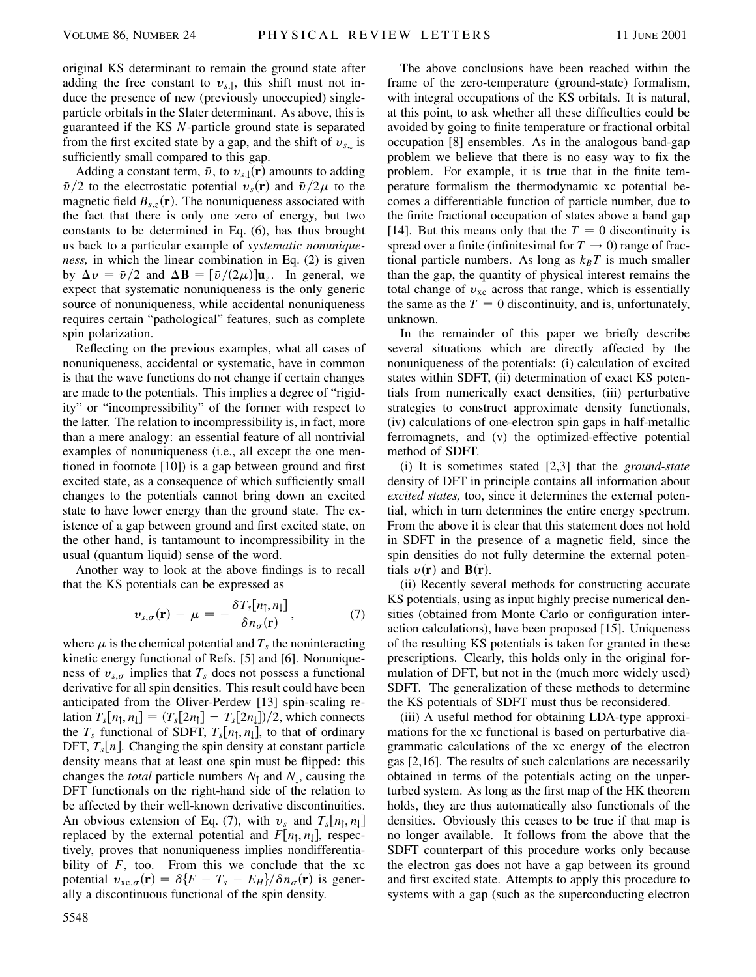original KS determinant to remain the ground state after adding the free constant to  $v_{s,l}$ , this shift must not induce the presence of new (previously unoccupied) singleparticle orbitals in the Slater determinant. As above, this is guaranteed if the KS *N*-particle ground state is separated from the first excited state by a gap, and the shift of  $v_{s,1}$  is sufficiently small compared to this gap.

Adding a constant term,  $\bar{v}$ , to  $v_{s,\downarrow}(\mathbf{r})$  amounts to adding  $\bar{v}/2$  to the electrostatic potential  $v_s(\mathbf{r})$  and  $\bar{v}/2\mu$  to the magnetic field  $B_{s,z}(\mathbf{r})$ . The nonuniqueness associated with the fact that there is only one zero of energy, but two constants to be determined in Eq. (6), has thus brought us back to a particular example of *systematic nonuniqueness,* in which the linear combination in Eq. (2) is given by  $\Delta v = \bar{v}/2$  and  $\Delta \mathbf{B} = [\bar{v}/(2\mu)]\mathbf{u}_z$ . In general, we expect that systematic nonuniqueness is the only generic source of nonuniqueness, while accidental nonuniqueness requires certain "pathological" features, such as complete spin polarization.

Reflecting on the previous examples, what all cases of nonuniqueness, accidental or systematic, have in common is that the wave functions do not change if certain changes are made to the potentials. This implies a degree of "rigidity" or "incompressibility" of the former with respect to the latter. The relation to incompressibility is, in fact, more than a mere analogy: an essential feature of all nontrivial examples of nonuniqueness (i.e., all except the one mentioned in footnote [10]) is a gap between ground and first excited state, as a consequence of which sufficiently small changes to the potentials cannot bring down an excited state to have lower energy than the ground state. The existence of a gap between ground and first excited state, on the other hand, is tantamount to incompressibility in the usual (quantum liquid) sense of the word.

Another way to look at the above findings is to recall that the KS potentials can be expressed as

$$
v_{s,\sigma}(\mathbf{r}) - \mu = -\frac{\delta T_s[n_{\uparrow},n_{\downarrow}]}{\delta n_{\sigma}(\mathbf{r})},\qquad(7)
$$

where  $\mu$  is the chemical potential and  $T_s$  the noninteracting kinetic energy functional of Refs. [5] and [6]. Nonuniqueness of  $v_{s,\sigma}$  implies that  $T_s$  does not possess a functional derivative for all spin densities. This result could have been anticipated from the Oliver-Perdew [13] spin-scaling relation  $T_s[n_\uparrow, n_\downarrow] = (T_s[2n_\uparrow] + T_s[2n_\downarrow])/2$ , which connects the  $T_s$  functional of SDFT,  $T_s[n_\uparrow, n_\downarrow]$ , to that of ordinary DFT,  $T_s[n]$ . Changing the spin density at constant particle density means that at least one spin must be flipped: this changes the *total* particle numbers  $N_1$  and  $N_1$ , causing the DFT functionals on the right-hand side of the relation to be affected by their well-known derivative discontinuities. An obvious extension of Eq. (7), with  $v_s$  and  $T_s[n_1, n_1]$ replaced by the external potential and  $F[n_1, n_1]$ , respectively, proves that nonuniqueness implies nondifferentiability of  $F$ , too. From this we conclude that the xc potential  $v_{\text{xc},\sigma}(\mathbf{r}) = \delta \{ F - T_s - E_H \} / \delta n_{\sigma}(\mathbf{r})$  is generally a discontinuous functional of the spin density.

The above conclusions have been reached within the frame of the zero-temperature (ground-state) formalism, with integral occupations of the KS orbitals. It is natural, at this point, to ask whether all these difficulties could be avoided by going to finite temperature or fractional orbital occupation [8] ensembles. As in the analogous band-gap problem we believe that there is no easy way to fix the problem. For example, it is true that in the finite temperature formalism the thermodynamic xc potential becomes a differentiable function of particle number, due to the finite fractional occupation of states above a band gap [14]. But this means only that the  $T = 0$  discontinuity is spread over a finite (infinitesimal for  $T \to 0$ ) range of fractional particle numbers. As long as  $k_B T$  is much smaller than the gap, the quantity of physical interest remains the total change of  $v_{\text{xc}}$  across that range, which is essentially the same as the  $T = 0$  discontinuity, and is, unfortunately, unknown.

In the remainder of this paper we briefly describe several situations which are directly affected by the nonuniqueness of the potentials: (i) calculation of excited states within SDFT, (ii) determination of exact KS potentials from numerically exact densities, (iii) perturbative strategies to construct approximate density functionals, (iv) calculations of one-electron spin gaps in half-metallic ferromagnets, and (v) the optimized-effective potential method of SDFT.

(i) It is sometimes stated [2,3] that the *ground-state* density of DFT in principle contains all information about *excited states,* too, since it determines the external potential, which in turn determines the entire energy spectrum. From the above it is clear that this statement does not hold in SDFT in the presence of a magnetic field, since the spin densities do not fully determine the external potentials  $v(\mathbf{r})$  and  $\mathbf{B}(\mathbf{r})$ .

(ii) Recently several methods for constructing accurate KS potentials, using as input highly precise numerical densities (obtained from Monte Carlo or configuration interaction calculations), have been proposed [15]. Uniqueness of the resulting KS potentials is taken for granted in these prescriptions. Clearly, this holds only in the original formulation of DFT, but not in the (much more widely used) SDFT. The generalization of these methods to determine the KS potentials of SDFT must thus be reconsidered.

(iii) A useful method for obtaining LDA-type approximations for the xc functional is based on perturbative diagrammatic calculations of the xc energy of the electron gas [2,16]. The results of such calculations are necessarily obtained in terms of the potentials acting on the unperturbed system. As long as the first map of the HK theorem holds, they are thus automatically also functionals of the densities. Obviously this ceases to be true if that map is no longer available. It follows from the above that the SDFT counterpart of this procedure works only because the electron gas does not have a gap between its ground and first excited state. Attempts to apply this procedure to systems with a gap (such as the superconducting electron